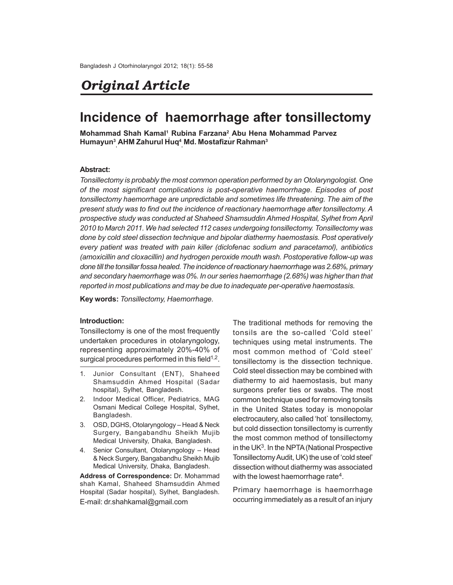# *Original Article*

# **Incidence of haemorrhage after tonsillectomy**

**Mohammad Shah Kamal<sup>1</sup> , Rubina Farzana<sup>2</sup> , Abu Hena Mohammad Parvez Humayun<sup>3</sup> , AHM Zahurul Huq<sup>4</sup> , Md. Mostafizur Rahman<sup>3</sup>**

## **Abstract:**

*Tonsillectomy is probably the most common operation performed by an Otolaryngologist. One of the most significant complications is post-operative haemorrhage. Episodes of post tonsillectomy haemorrhage are unpredictable and sometimes life threatening. The aim of the present study was to find out the incidence of reactionary haemorrhage after tonsillectomy. A prospective study was conducted at Shaheed Shamsuddin Ahmed Hospital, Sylhet from April* 2010 to March 2011. We had selected 112 cases undergoing tonsillectomy. Tonsillectomy was *done by cold steel dissection technique and bipolar diathermy haemostasis. Post operatively every patient was treated with pain killer (diclofenac sodium and paracetamol), antibiotics (amoxicillin and cloxacillin) and hydrogen peroxide mouth wash. Postoperative follow-up was* done till the tonsillar fossa healed. The incidence of reactionary haemorrhage was 2.68%, primary *andsecondary haemorrhage was 0%. In our series haemorrhage (2.68%) was higher than that* reported in most publications and may be due to inadequate per-operative haemostasis.

**Key words:** *Tonsillectomy, Haemorrhage.*

# **Introduction:**

Tonsillectomy is one of the most frequently undertaken procedures in otolaryngology, representing approximately 20%-40% of surgical procedures performed in this field $1,2$ .

- 1. Junior Consultant (ENT), Shaheed Shamsuddin Ahmed Hospital (Sadar hospital), Sylhet, Bangladesh.
- 2. Indoor Medical Officer, Pediatrics, MAG Osmani Medical College Hospital, Sylhet, Bangladesh.
- 3. OSD, DGHS, Otolaryngology Head & Neck Surgery, Bangabandhu Sheikh Mujib Medical University, Dhaka, Bangladesh.
- 4. Senior Consultant, Otolaryngology Head & Neck Surgery, Bangabandhu Sheikh Mujib Medical University, Dhaka, Bangladesh.

**Address of Correspondence:** Dr. Mohammad shah Kamal, Shaheed Shamsuddin Ahmed Hospital (Sadar hospital), Sylhet, Bangladesh. E-mail: dr.shahkamal@gmail.com

The traditional methods for removing the tonsils are the so-called 'Cold steel' techniques using metal instruments. The most common method of 'Cold steel' tonsillectomy is the dissection technique. Cold steel dissection may be combined with diathermy to aid haemostasis, but many surgeons prefer ties or swabs. The most common technique used for removing tonsils in the United States today is monopolar electrocautery, also called 'hot` tonsillectomy, but cold dissection tonsillectomy is currently the most common method of tonsillectomy in the UK<sup>3</sup>. In the NPTA (National Prospective Tonsillectomy Audit, UK) the use of 'cold steel' dissection without diathermy was associated with the lowest haemorrhage rate<sup>4</sup>.

Primary haemorrhage is haemorrhage occurring immediately as a result of an injury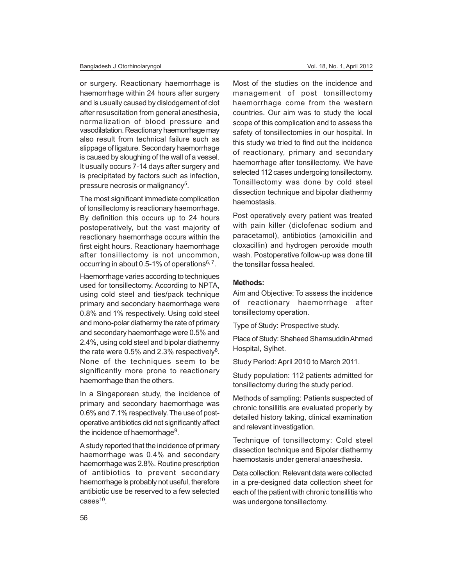or surgery. Reactionary haemorrhage is haemorrhage within 24 hours after surgery and is usually caused by dislodgement of clot after resuscitation from general anesthesia, normalization of blood pressure and vasodilatation. Reactionary haemorrhage may also result from technical failure such as slippage of ligature. Secondary haemorrhage is caused by sloughing of the wall of a vessel. It usually occurs 7-14 days after surgery and is precipitated by factors such as infection, pressure necrosis or malignancy<sup>5</sup>.

The most significant immediate complication of tonsillectomy is reactionary haemorrhage. By definition this occurs up to 24 hours postoperatively, but the vast majority of reactionary haemorrhage occurs within the first eight hours. Reactionary haemorrhage after tonsillectomy is not uncommon, occurring in about 0.5-1% of operations $6, 7$ .

Haemorrhage varies according to techniques used for tonsillectomy. According to NPTA, using cold steel and ties/pack technique primary and secondary haemorrhage were 0.8% and 1% respectively. Using cold steel and mono-polar diathermy the rate of primary and secondary haemorrhage were 0.5% and 2.4%, using cold steel and bipolar diathermy the rate were 0.5% and 2.3% respectively<sup>8</sup>. None of the techniques seem to be significantly more prone to reactionary haemorrhage than the others.

In a Singaporean study, the incidence of primary and secondary haemorrhage was 0.6% and 7.1% respectively. The use of postoperative antibiotics did not significantly affect the incidence of haemorrhage $9$ .

A study reported that the incidence of primary haemorrhage was 0.4% and secondary haemorrhage was 2.8%. Routine prescription of antibiotics to prevent secondary haemorrhage is probably not useful, therefore antibiotic use be reserved to a few selected cases<sup>10</sup>.

Most of the studies on the incidence and management of post tonsillectomy haemorrhage come from the western countries. Our aim was to study the local scope of this complication and to assess the safety of tonsillectomies in our hospital. In this study we tried to find out the incidence of reactionary, primary and secondary haemorrhage after tonsillectomy. We have selected 112 cases undergoing tonsillectomy. Tonsillectomy was done by cold steel dissection technique and bipolar diathermy haemostasis.

Post operatively every patient was treated with pain killer (diclofenac sodium and paracetamol), antibiotics (amoxicillin and cloxacillin) and hydrogen peroxide mouth wash. Postoperative follow-up was done till the tonsillar fossa healed.

#### **Methods:**

Aim and Objective: To assess the incidence of reactionary haemorrhage after tonsillectomy operation.

Type of Study: Prospective study.

Place of Study: Shaheed Shamsuddin Ahmed Hospital, Sylhet.

Study Period: April 2010 to March 2011.

Study population: 112 patients admitted for tonsillectomy during the study period.

Methods of sampling: Patients suspected of chronic tonsillitis are evaluated properly by detailed history taking, clinical examination and relevant investigation.

Technique of tonsillectomy: Cold steel dissection technique and Bipolar diathermy haemostasis under general anaesthesia.

Data collection: Relevant data were collected in a pre-designed data collection sheet for each of the patient with chronic tonsillitis who was undergone tonsillectomy.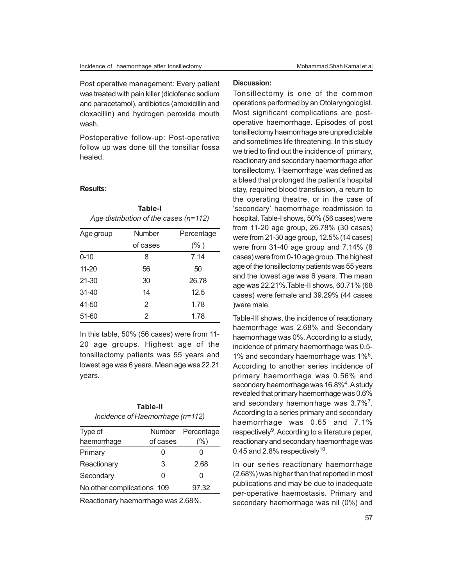Post operative management: Every patient was treated with pain killer (diclofenac sodium and paracetamol), antibiotics (amoxicillin and cloxacillin) and hydrogen peroxide mouth wash.

Postoperative follow-up: Post-operative follow up was done till the tonsillar fossa healed.

**Table-I** *Age distribution of the cases (n=112)*

#### **Results:**

| Age group | Number   | Percentage |
|-----------|----------|------------|
|           | of cases | $(\% )$    |
| $0 - 10$  | 8        | 7.14       |
| $11 - 20$ | 56       | 50         |
| 21-30     | 30       | 26.78      |
| $31 - 40$ | 14       | 12.5       |
| 41-50     | 2        | 1.78       |
| 51-60     | 2        | 1.78       |

In this table, 50% (56 cases) were from 11- 20 age groups. Highest age of the tonsillectomy patients was 55 years and lowest age was 6 years. Mean age was 22.21 years.

# **Table-II** *Incidence of Haemorrhage (n=112)*

| Type of                    |          | Number Percentage |
|----------------------------|----------|-------------------|
| haemorrhage                | of cases | (%)               |
| Primary                    | O        | O                 |
| Reactionary                | 3        | 2.68              |
| Secondary                  | ი        | O                 |
| No other complications 109 |          | 97.32             |

Reactionary haemorrhage was 2.68%.

## **Discussion:**

Tonsillectomy is one of the common operations performed by an Otolaryngologist. Most significant complications are postoperative haemorrhage. Episodes of post tonsillectomy haemorrhage are unpredictable and sometimes life threatening. In this study we tried to find out the incidence of primary, reactionary and secondary haemorrhage after tonsillectomy. 'Haemorrhage 'was defined as a bleed that prolonged the patient's hospital stay, required blood transfusion, a return to the operating theatre, or in the case of 'secondary' haemorrhage readmission to hospital. Table-I shows, 50% (56 cases) were from 11-20 age group, 26.78% (30 cases) were from 21-30 age group, 12.5% (14 cases) were from 31-40 age group and 7.14% (8 cases) were from 0-10 age group. The highest age of the tonsillectomy patients was 55 years and the lowest age was 6 years. The mean age was 22.21%.Table-II shows, 60.71% (68 cases) were female and 39.29% (44 cases )were male.

Table-III shows, the incidence of reactionary haemorrhage was 2.68% and Secondary haemorrhage was 0%. According to a study, incidence of primary haemorrhage was 0.5- 1% and secondary haemorrhage was 1%<sup>6</sup>. According to another series incidence of primary haemorrhage was 0.56% and secondary haemorrhage was 16.8%<sup>4</sup>. A study revealed that primary haemorrhage was 0.6% and secondary haemorrhage was 3.7%<sup>7</sup>. According to a series primary and secondary haemorrhage was 0.65 and 7.1% respectively<sup>9</sup>. According to a literature paper, reactionary and secondary haemorrhage was 0.45 and 2.8% respectively<sup>10</sup>.

In our series reactionary haemorrhage (2.68%) was higher than that reported in most publications and may be due to inadequate per-operative haemostasis. Primary and secondary haemorrhage was nil (0%) and